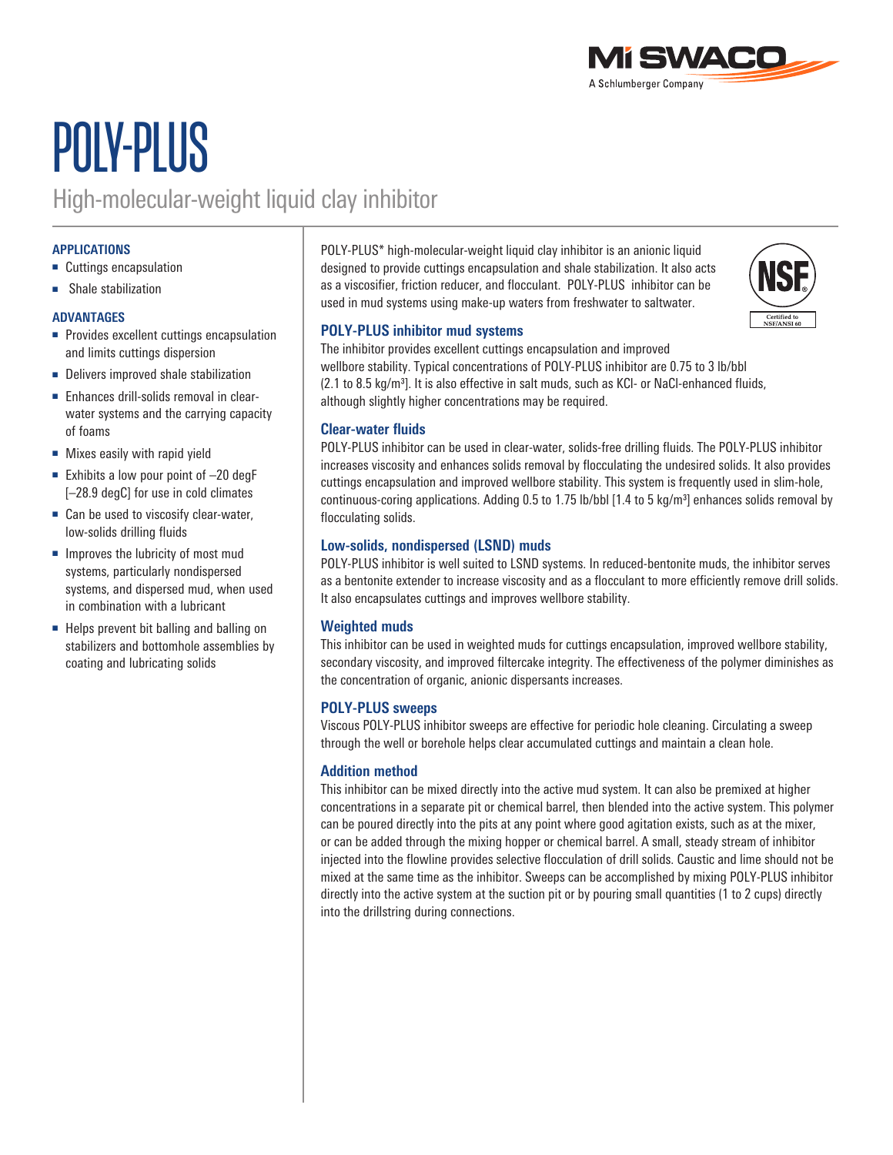

# POLY-PLUS

### High-molecular-weight liquid clay inhibitor

#### **APPLICATIONS**

- Cuttings encapsulation
- Shale stabilization

#### **ADVANTAGES**

- Provides excellent cuttings encapsulation and limits cuttings dispersion
- Delivers improved shale stabilization
- Enhances drill-solids removal in clearwater systems and the carrying capacity of foams
- Mixes easily with rapid yield
- Exhibits a low pour point of  $-20$  degF [–28.9 degC] for use in cold climates
- Can be used to viscosify clear-water, low-solids drilling fluids
- Improves the lubricity of most mud systems, particularly nondispersed systems, and dispersed mud, when used in combination with a lubricant
- Helps prevent bit balling and balling on stabilizers and bottomhole assemblies by coating and lubricating solids

POLY-PLUS\* high-molecular-weight liquid clay inhibitor is an anionic liquid designed to provide cuttings encapsulation and shale stabilization. It also acts as a viscosifier, friction reducer, and flocculant. POLY-PLUS inhibitor can be used in mud systems using make-up waters from freshwater to saltwater.



#### **POLY-PLUS inhibitor mud systems**

The inhibitor provides excellent cuttings encapsulation and improved wellbore stability. Typical concentrations of POLY-PLUS inhibitor are 0.75 to 3 lb/bbl (2.1 to 8.5 kg/m3]. It is also effective in salt muds, such as KCl- or NaCl-enhanced fluids, although slightly higher concentrations may be required.

#### **Clear-water fluids**

POLY-PLUS inhibitor can be used in clear-water, solids-free drilling fluids. The POLY-PLUS inhibitor increases viscosity and enhances solids removal by flocculating the undesired solids. It also provides cuttings encapsulation and improved wellbore stability. This system is frequently used in slim-hole, continuous-coring applications. Adding 0.5 to 1.75 lb/bbl  $[1.4 \text{ to } 5 \text{ kg/m}^3]$  enhances solids removal by flocculating solids.

#### **Low-solids, nondispersed (LSND) muds**

POLY-PLUS inhibitor is well suited to LSND systems. In reduced-bentonite muds, the inhibitor serves as a bentonite extender to increase viscosity and as a flocculant to more efficiently remove drill solids. It also encapsulates cuttings and improves wellbore stability.

#### **Weighted muds**

This inhibitor can be used in weighted muds for cuttings encapsulation, improved wellbore stability, secondary viscosity, and improved filtercake integrity. The effectiveness of the polymer diminishes as the concentration of organic, anionic dispersants increases.

#### **POLY-PLUS sweeps**

Viscous POLY-PLUS inhibitor sweeps are effective for periodic hole cleaning. Circulating a sweep through the well or borehole helps clear accumulated cuttings and maintain a clean hole.

#### **Addition method**

This inhibitor can be mixed directly into the active mud system. It can also be premixed at higher concentrations in a separate pit or chemical barrel, then blended into the active system. This polymer can be poured directly into the pits at any point where good agitation exists, such as at the mixer, or can be added through the mixing hopper or chemical barrel. A small, steady stream of inhibitor injected into the flowline provides selective flocculation of drill solids. Caustic and lime should not be mixed at the same time as the inhibitor. Sweeps can be accomplished by mixing POLY-PLUS inhibitor directly into the active system at the suction pit or by pouring small quantities (1 to 2 cups) directly into the drillstring during connections.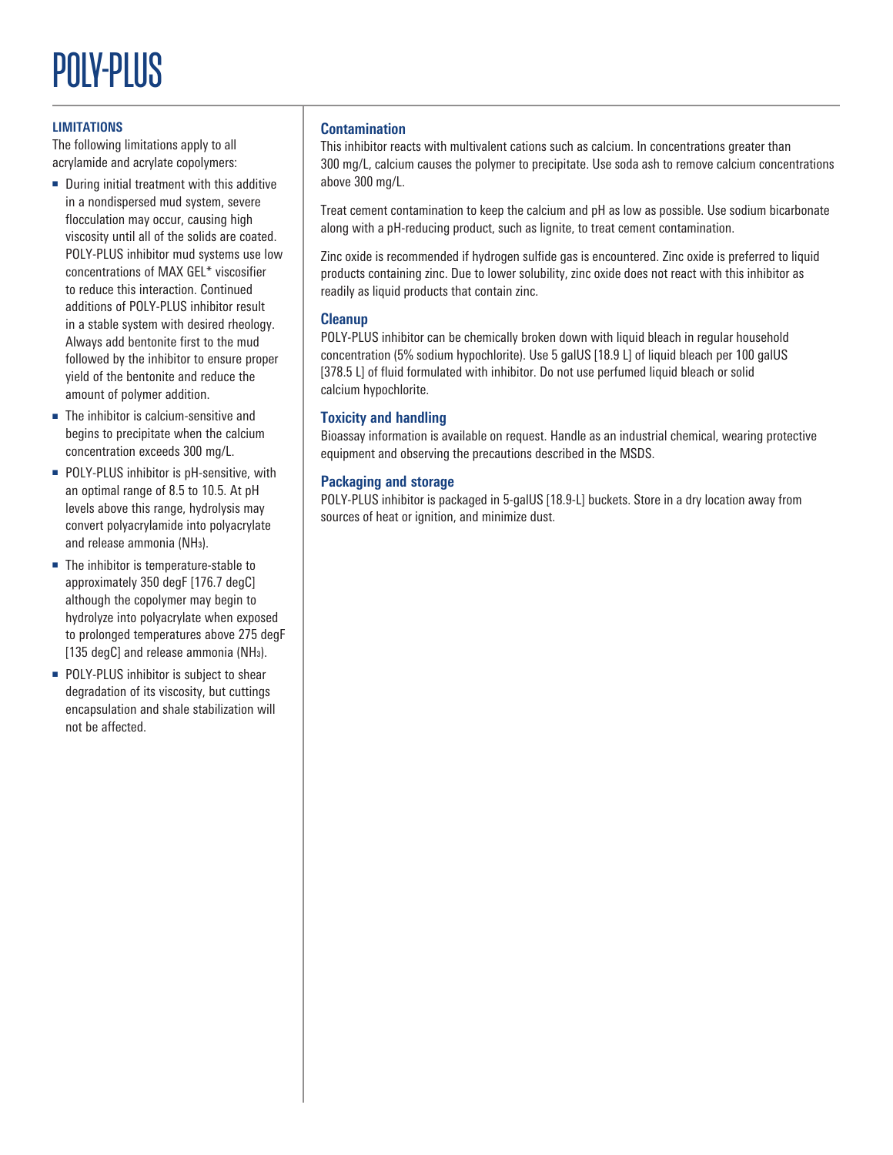## POLY-PLUS

#### **LIMITATIONS**

The following limitations apply to all acrylamide and acrylate copolymers:

- During initial treatment with this additive in a nondispersed mud system, severe flocculation may occur, causing high viscosity until all of the solids are coated. POLY-PLUS inhibitor mud systems use low concentrations of MAX GEL\* viscosifier to reduce this interaction. Continued additions of POLY-PLUS inhibitor result in a stable system with desired rheology. Always add bentonite first to the mud followed by the inhibitor to ensure proper yield of the bentonite and reduce the amount of polymer addition.
- The inhibitor is calcium-sensitive and begins to precipitate when the calcium concentration exceeds 300 mg/L.
- POLY-PLUS inhibitor is pH-sensitive, with an optimal range of 8.5 to 10.5. At pH levels above this range, hydrolysis may convert polyacrylamide into polyacrylate and release ammonia (NH3).
- The inhibitor is temperature-stable to approximately 350 degF [176.7 degC] although the copolymer may begin to hydrolyze into polyacrylate when exposed to prolonged temperatures above 275 degF [135 degC] and release ammonia (NH<sub>3</sub>).
- POLY-PLUS inhibitor is subject to shear degradation of its viscosity, but cuttings encapsulation and shale stabilization will not be affected.

#### **Contamination**

This inhibitor reacts with multivalent cations such as calcium. In concentrations greater than 300 mg/L, calcium causes the polymer to precipitate. Use soda ash to remove calcium concentrations above 300 mg/L.

Treat cement contamination to keep the calcium and pH as low as possible. Use sodium bicarbonate along with a pH-reducing product, such as lignite, to treat cement contamination.

Zinc oxide is recommended if hydrogen sulfide gas is encountered. Zinc oxide is preferred to liquid products containing zinc. Due to lower solubility, zinc oxide does not react with this inhibitor as readily as liquid products that contain zinc.

#### **Cleanup**

POLY-PLUS inhibitor can be chemically broken down with liquid bleach in regular household concentration (5% sodium hypochlorite). Use 5 galUS [18.9 L] of liquid bleach per 100 galUS [378.5 L] of fluid formulated with inhibitor. Do not use perfumed liquid bleach or solid calcium hypochlorite.

#### **Toxicity and handling**

Bioassay information is available on request. Handle as an industrial chemical, wearing protective equipment and observing the precautions described in the MSDS.

#### **Packaging and storage**

POLY-PLUS inhibitor is packaged in 5-galUS [18.9-L] buckets. Store in a dry location away from sources of heat or ignition, and minimize dust.